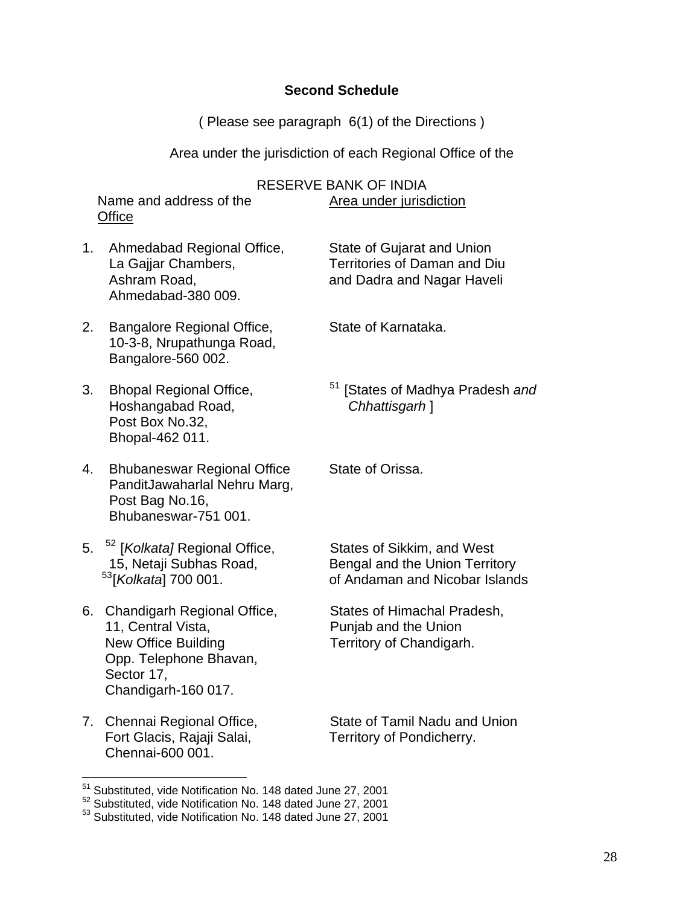# **Second Schedule**

( Please see paragraph 6(1) of the Directions )

Area under the jurisdiction of each Regional Office of the

|    |                                                                                                                                                | RESERVE BANK OF INDIA                                                                          |
|----|------------------------------------------------------------------------------------------------------------------------------------------------|------------------------------------------------------------------------------------------------|
|    | Name and address of the<br>Office                                                                                                              | Area under jurisdiction                                                                        |
| 1. | Ahmedabad Regional Office,<br>La Gajjar Chambers,<br>Ashram Road,<br>Ahmedabad-380 009.                                                        | State of Gujarat and Union<br>Territories of Daman and Diu<br>and Dadra and Nagar Haveli       |
| 2. | Bangalore Regional Office,<br>10-3-8, Nrupathunga Road,<br>Bangalore-560 002.                                                                  | State of Karnataka.                                                                            |
| 3. | <b>Bhopal Regional Office,</b><br>Hoshangabad Road,<br>Post Box No.32,<br>Bhopal-462 011.                                                      | <sup>51</sup> [States of Madhya Pradesh and<br>Chhattisgarh ]                                  |
| 4. | <b>Bhubaneswar Regional Office</b><br>PanditJawaharlal Nehru Marg,<br>Post Bag No.16,<br>Bhubaneswar-751 001.                                  | State of Orissa.                                                                               |
| 5. | <sup>52</sup> [ <i>Kolkata]</i> Regional Office,<br>15, Netaji Subhas Road,<br><sup>53</sup> [Kolkata] 700 001.                                | States of Sikkim, and West<br>Bengal and the Union Territory<br>of Andaman and Nicobar Islands |
| 6. | Chandigarh Regional Office,<br>11, Central Vista,<br><b>New Office Building</b><br>Opp. Telephone Bhavan,<br>Sector 17,<br>Chandigarh-160 017. | States of Himachal Pradesh,<br>Punjab and the Union<br>Territory of Chandigarh.                |
| 7. | Chennai Regional Office,<br>Fort Glacis, Rajaji Salai,<br>Chennai-600 001.                                                                     | State of Tamil Nadu and Union<br>Territory of Pondicherry.                                     |

<span id="page-0-0"></span><sup>&</sup>lt;sup>51</sup> Substituted, vide Notification No. 148 dated June 27, 2001

 $\overline{a}$ 

<span id="page-0-1"></span> $52$  Substituted, vide Notification No. 148 dated June 27, 2001

<span id="page-0-2"></span><sup>&</sup>lt;sup>53</sup> Substituted, vide Notification No. 148 dated June 27, 2001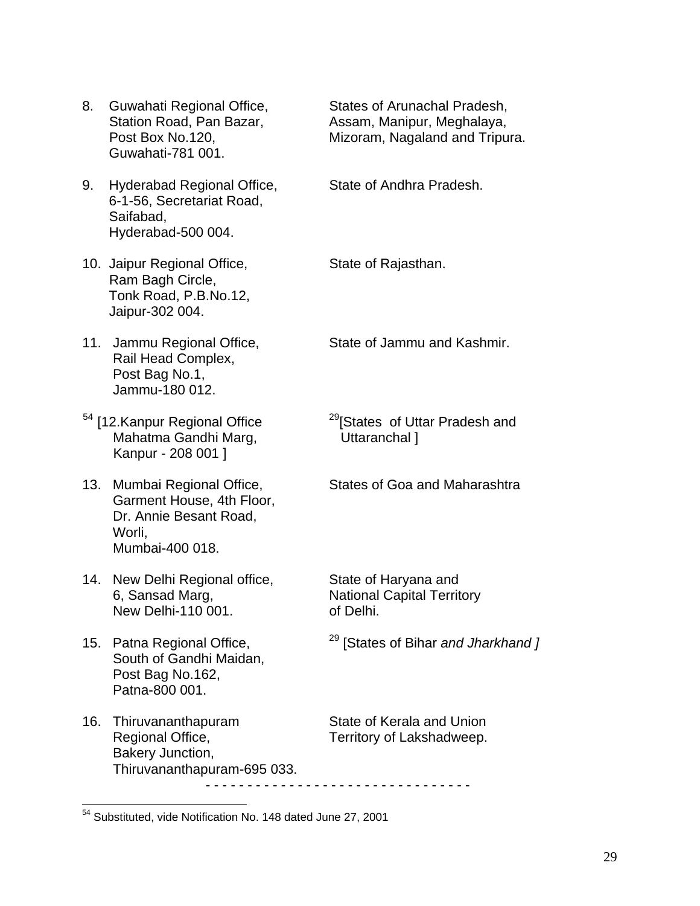- 8. Guwahati Regional Office, States of Arunachal Pradesh, Guwahati-781 001.
- 9. Hyderabad Regional Office, State of Andhra Pradesh. 6-1-56, Secretariat Road, Saifabad, Hyderabad-500 004.
- 10. Jaipur Regional Office, State of Rajasthan. Ram Bagh Circle, Tonk Road, P.B.No.12, Jaipur-302 004.
- Rail Head Complex, Post Bag No.1, Jammu-180 012.
- Mahatma Gandhi Marg, **Uttaranchal** ] Kanpur - 208 001 ]
- 13. Mumbai Regional Office, States of Goa and Maharashtra Garment House, 4th Floor, Dr. Annie Besant Road, Worli, Mumbai-400 018.
- 14. New Delhi Regional office, State of Haryana and 6, Sansad Marg, National Capital Territory New Delhi-110 001. of Delhi.
- South of Gandhi Maidan, Post Bag No.162, Patna-800 001.

 $\overline{a}$ 

16. Thiruvananthapuram State of Kerala and Union Regional Office, Territory of Lakshadweep. Bakery Junction, Thiruvananthapuram-695 033. - - - - - - - - - - - - - - - - - - - - - - - - - - - - - - - -

Station Road, Pan Bazar, Assam, Manipur, Meghalaya, Post Box No.120, Mizoram, Nagaland and Tripura.

11. Jammu Regional Office, State of Jammu and Kashmir.

 $54$  [12.Kanpur Regional Office  $29$ [States of Uttar Pradesh and

15. Patna Regional Office, 29 [States of Bihar *and Jharkhand ]*

<span id="page-1-0"></span><sup>&</sup>lt;sup>54</sup> Substituted, vide Notification No. 148 dated June 27, 2001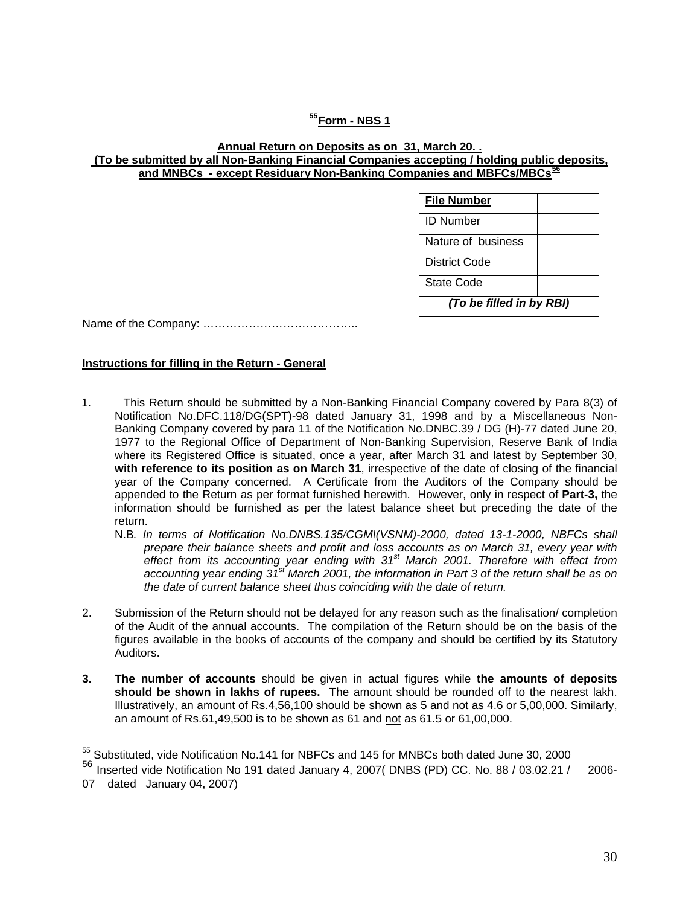### **[55](#page-2-0)Form - NBS 1**

#### **Annual Return on Deposits as on 31, March 20. . (To be submitted by all Non-Banking Financial Companies accepting / holding public deposits, and MNBCs - except Residuary Non-Banking Companies and MBFCs/MBCs[56](#page-2-1)**

| <b>File Number</b>       |  |  |  |
|--------------------------|--|--|--|
| <b>ID Number</b>         |  |  |  |
| Nature of business       |  |  |  |
| <b>District Code</b>     |  |  |  |
| State Code               |  |  |  |
| (To be filled in by RBI) |  |  |  |

Name of the Company: …………………………………..

#### **Instructions for filling in the Return - General**

- 1. This Return should be submitted by a Non-Banking Financial Company covered by Para 8(3) of Notification No.DFC.118/DG(SPT)-98 dated January 31, 1998 and by a Miscellaneous Non-Banking Company covered by para 11 of the Notification No.DNBC.39 / DG (H)-77 dated June 20, 1977 to the Regional Office of Department of Non-Banking Supervision, Reserve Bank of India where its Registered Office is situated, once a year, after March 31 and latest by September 30, **with reference to its position as on March 31**, irrespective of the date of closing of the financial year of the Company concerned. A Certificate from the Auditors of the Company should be appended to the Return as per format furnished herewith. However, only in respect of **Part-3,** the information should be furnished as per the latest balance sheet but preceding the date of the return.
	- N.B*. In terms of Notification No.DNBS.135/CGM\(VSNM)-2000, dated 13-1-2000, NBFCs shall prepare their balance sheets and profit and loss accounts as on March 31, every year with effect from its accounting year ending with 31st March 2001. Therefore with effect from accounting year ending 31st March 2001, the information in Part 3 of the return shall be as on the date of current balance sheet thus coinciding with the date of return.*
- 2. Submission of the Return should not be delayed for any reason such as the finalisation/ completion of the Audit of the annual accounts. The compilation of the Return should be on the basis of the figures available in the books of accounts of the company and should be certified by its Statutory Auditors.
- **3. The number of accounts** should be given in actual figures while **the amounts of deposits should be shown in lakhs of rupees.** The amount should be rounded off to the nearest lakh. Illustratively, an amount of Rs.4,56,100 should be shown as 5 and not as 4.6 or 5,00,000. Similarly, an amount of Rs.61,49,500 is to be shown as 61 and not as 61.5 or 61,00,000.

 $\overline{a}$ 

 $55$  Substituted, vide Notification No.141 for NBFCs and 145 for MNBCs both dated June 30, 2000

<span id="page-2-1"></span><span id="page-2-0"></span><sup>56</sup> Inserted vide Notification No 191 dated January 4, 2007( DNBS (PD) CC. No. 88 / 03.02.21 / 2006-

<sup>07</sup> dated January 04, 2007)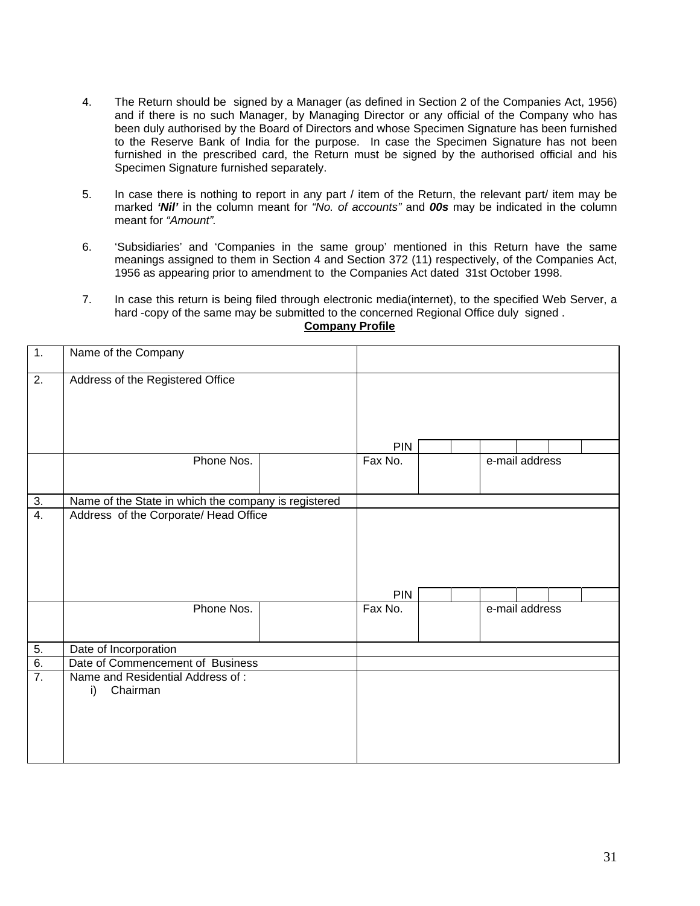- 4. The Return should be signed by a Manager (as defined in Section 2 of the Companies Act, 1956) and if there is no such Manager, by Managing Director or any official of the Company who has been duly authorised by the Board of Directors and whose Specimen Signature has been furnished to the Reserve Bank of India for the purpose. In case the Specimen Signature has not been furnished in the prescribed card, the Return must be signed by the authorised official and his Specimen Signature furnished separately.
- 5. In case there is nothing to report in any part / item of the Return, the relevant part/ item may be marked *'Nil'* in the column meant for *"No. of accounts"* and *00s* may be indicated in the column meant for *"Amount".*
- 6. 'Subsidiaries' and 'Companies in the same group' mentioned in this Return have the same meanings assigned to them in Section 4 and Section 372 (11) respectively, of the Companies Act, 1956 as appearing prior to amendment to the Companies Act dated 31st October 1998.
- 7. In case this return is being filed through electronic media(internet), to the specified Web Server, a hard -copy of the same may be submitted to the concerned Regional Office duly signed .

| 1.                    | Name of the Company                                  |            |  |                |  |
|-----------------------|------------------------------------------------------|------------|--|----------------|--|
| $\overline{2}$ .      | Address of the Registered Office                     |            |  |                |  |
|                       |                                                      | <b>PIN</b> |  |                |  |
|                       | Phone Nos.                                           | Fax No.    |  | e-mail address |  |
| $\frac{3}{4}$         | Name of the State in which the company is registered |            |  |                |  |
|                       | Address of the Corporate/ Head Office                | <b>PIN</b> |  |                |  |
|                       | Phone Nos.                                           | Fax No.    |  | e-mail address |  |
| $\frac{5}{6}$ .<br>7. | Date of Incorporation                                |            |  |                |  |
|                       | Date of Commencement of Business                     |            |  |                |  |
|                       | Name and Residential Address of:<br>Chairman<br>i)   |            |  |                |  |

### **Company Profile**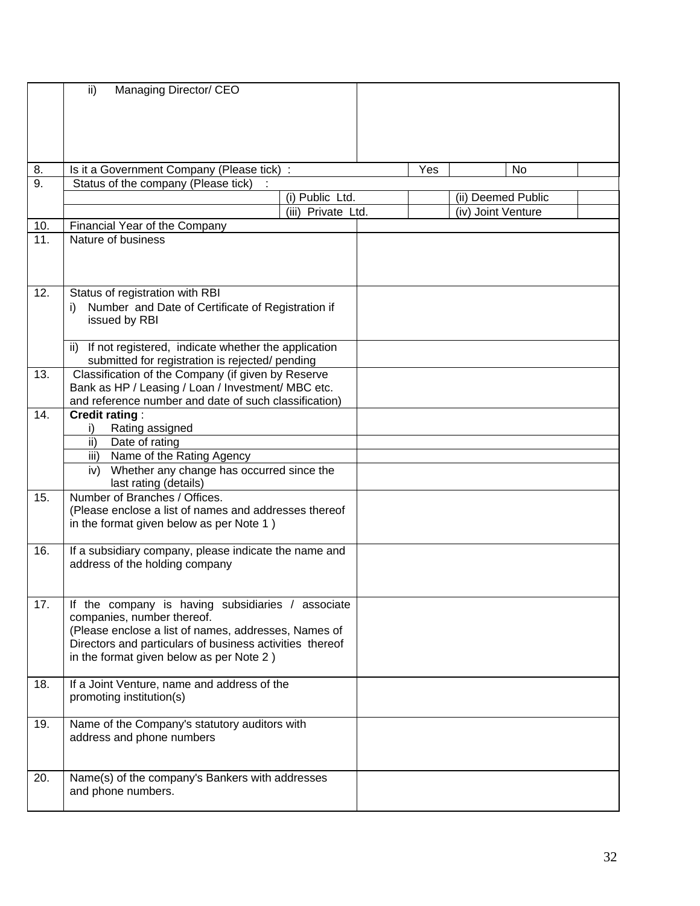|     | ii)<br>Managing Director/ CEO                                                                                                                                                                                                         |                    |     |                    |    |  |
|-----|---------------------------------------------------------------------------------------------------------------------------------------------------------------------------------------------------------------------------------------|--------------------|-----|--------------------|----|--|
| 8.  |                                                                                                                                                                                                                                       |                    | Yes |                    | No |  |
| 9.  | Is it a Government Company (Please tick) :<br>Status of the company (Please tick)                                                                                                                                                     |                    |     |                    |    |  |
|     |                                                                                                                                                                                                                                       | (i) Public Ltd.    |     | (ii) Deemed Public |    |  |
|     |                                                                                                                                                                                                                                       | (iii) Private Ltd. |     | (iv) Joint Venture |    |  |
| 10. | Financial Year of the Company                                                                                                                                                                                                         |                    |     |                    |    |  |
| 11. | Nature of business                                                                                                                                                                                                                    |                    |     |                    |    |  |
|     |                                                                                                                                                                                                                                       |                    |     |                    |    |  |
| 12. | Status of registration with RBI<br>Number and Date of Certificate of Registration if<br>issued by RBI<br>If not registered, indicate whether the application<br>ii)                                                                   |                    |     |                    |    |  |
|     | submitted for registration is rejected/ pending                                                                                                                                                                                       |                    |     |                    |    |  |
| 13. | Classification of the Company (if given by Reserve<br>Bank as HP / Leasing / Loan / Investment/ MBC etc.<br>and reference number and date of such classification)                                                                     |                    |     |                    |    |  |
| 14. | <b>Credit rating:</b>                                                                                                                                                                                                                 |                    |     |                    |    |  |
|     | Rating assigned<br>i)                                                                                                                                                                                                                 |                    |     |                    |    |  |
|     | ii)<br>Date of rating                                                                                                                                                                                                                 |                    |     |                    |    |  |
|     | Name of the Rating Agency<br>iii)                                                                                                                                                                                                     |                    |     |                    |    |  |
|     | Whether any change has occurred since the<br>iv)<br>last rating (details)                                                                                                                                                             |                    |     |                    |    |  |
| 15. | Number of Branches / Offices.                                                                                                                                                                                                         |                    |     |                    |    |  |
|     | (Please enclose a list of names and addresses thereof<br>in the format given below as per Note 1)                                                                                                                                     |                    |     |                    |    |  |
| 16. | If a subsidiary company, please indicate the name and<br>address of the holding company                                                                                                                                               |                    |     |                    |    |  |
| 17. | If the company is having subsidiaries /<br>companies, number thereof.<br>(Please enclose a list of names, addresses, Names of<br>Directors and particulars of business activities thereof<br>in the format given below as per Note 2) | associate          |     |                    |    |  |
| 18. | If a Joint Venture, name and address of the<br>promoting institution(s)                                                                                                                                                               |                    |     |                    |    |  |
| 19. | Name of the Company's statutory auditors with<br>address and phone numbers                                                                                                                                                            |                    |     |                    |    |  |
| 20. | Name(s) of the company's Bankers with addresses<br>and phone numbers.                                                                                                                                                                 |                    |     |                    |    |  |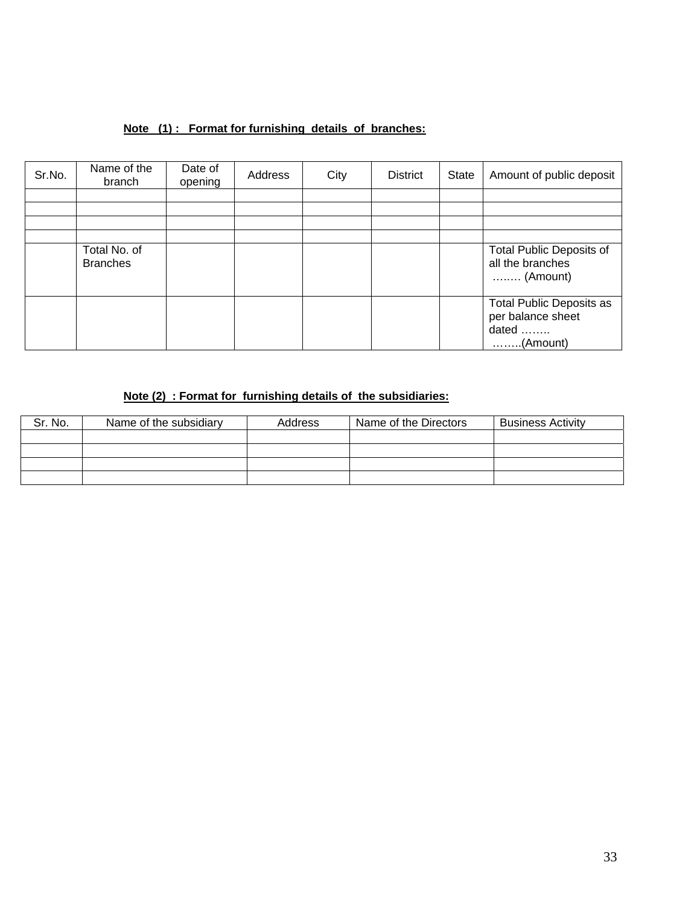## **Note (1) : Format for furnishing details of branches:**

| Sr.No. | Name of the<br>branch           | Date of<br>opening | Address | City | <b>District</b> | State | Amount of public deposit                                                           |
|--------|---------------------------------|--------------------|---------|------|-----------------|-------|------------------------------------------------------------------------------------|
|        |                                 |                    |         |      |                 |       |                                                                                    |
|        |                                 |                    |         |      |                 |       |                                                                                    |
|        |                                 |                    |         |      |                 |       |                                                                                    |
|        |                                 |                    |         |      |                 |       |                                                                                    |
|        | Total No. of<br><b>Branches</b> |                    |         |      |                 |       | <b>Total Public Deposits of</b><br>all the branches<br>$\ldots$ (Amount)           |
|        |                                 |                    |         |      |                 |       | <b>Total Public Deposits as</b><br>per balance sheet<br>dated<br>$\ldots$ (Amount) |

## **Note (2) : Format for furnishing details of the subsidiaries:**

| Sr. No. | Name of the subsidiary | <b>Address</b> | Name of the Directors | <b>Business Activity</b> |
|---------|------------------------|----------------|-----------------------|--------------------------|
|         |                        |                |                       |                          |
|         |                        |                |                       |                          |
|         |                        |                |                       |                          |
|         |                        |                |                       |                          |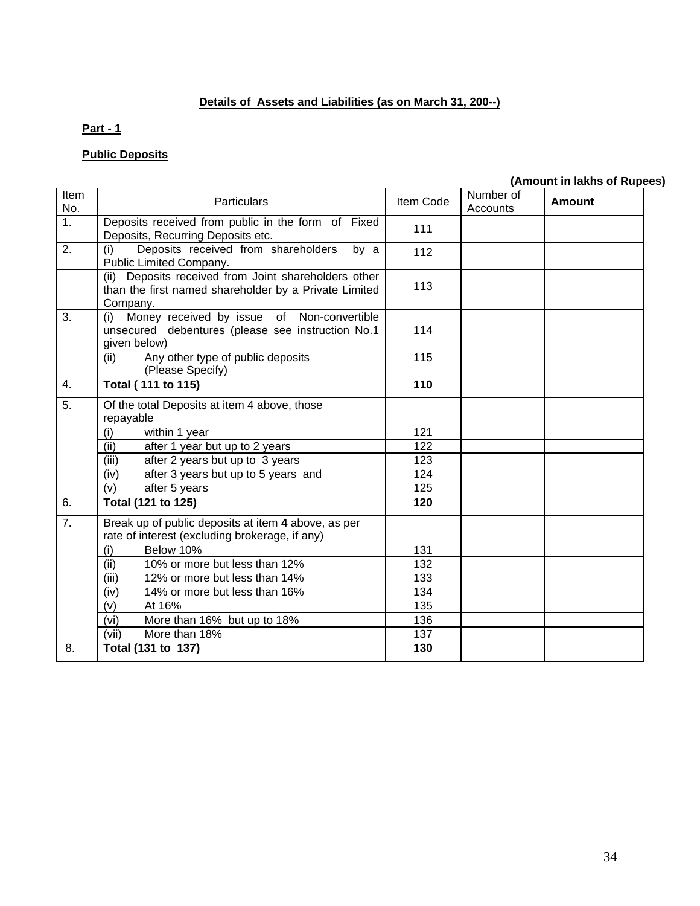# **Details of Assets and Liabilities (as on March 31, 200--)**

## **Part - 1**

# **Public Deposits**

# **(Amount in lakhs of Rupees)**

| Item<br>No.      | Particulars                                                                                                               | Item Code | Number of<br><b>Accounts</b> | Amount |
|------------------|---------------------------------------------------------------------------------------------------------------------------|-----------|------------------------------|--------|
| $\overline{1}$ . | Deposits received from public in the form of Fixed<br>Deposits, Recurring Deposits etc.                                   | 111       |                              |        |
| 2.               | Deposits received from shareholders<br>(i)<br>by a<br>Public Limited Company.                                             | 112       |                              |        |
|                  | (ii) Deposits received from Joint shareholders other<br>than the first named shareholder by a Private Limited<br>Company. | 113       |                              |        |
| 3.               | Money received by issue of Non-convertible<br>(i)<br>unsecured debentures (please see instruction No.1<br>given below)    | 114       |                              |        |
|                  | Any other type of public deposits<br>(ii)<br>(Please Specify)                                                             | 115       |                              |        |
| 4.               | <b>Total (111 to 115)</b>                                                                                                 | 110       |                              |        |
| $\overline{5}$ . | Of the total Deposits at item 4 above, those<br>repayable                                                                 |           |                              |        |
|                  | within 1 year<br>(i)                                                                                                      | 121       |                              |        |
|                  | (ii)<br>after 1 year but up to 2 years                                                                                    | 122       |                              |        |
|                  | (iii)<br>after 2 years but up to 3 years                                                                                  | 123       |                              |        |
|                  | (iv)<br>after 3 years but up to 5 years and                                                                               | 124       |                              |        |
|                  | (v)<br>after 5 years                                                                                                      | 125       |                              |        |
| 6.               | Total (121 to 125)                                                                                                        | 120       |                              |        |
| 7.               | Break up of public deposits at item 4 above, as per                                                                       |           |                              |        |
|                  | rate of interest (excluding brokerage, if any)                                                                            |           |                              |        |
|                  | Below 10%<br>(i)                                                                                                          | 131       |                              |        |
|                  | (ii)<br>10% or more but less than 12%                                                                                     | 132       |                              |        |
|                  | 12% or more but less than 14%<br>(iii)                                                                                    | 133       |                              |        |
|                  | 14% or more but less than 16%<br>(iv)                                                                                     | 134       |                              |        |
|                  | (v)<br>At 16%                                                                                                             | 135       |                              |        |
|                  | (vi)<br>More than 16% but up to 18%                                                                                       | 136       |                              |        |
|                  | More than 18%<br>(vii)                                                                                                    | 137       |                              |        |
| 8.               | Total (131 to 137)                                                                                                        | 130       |                              |        |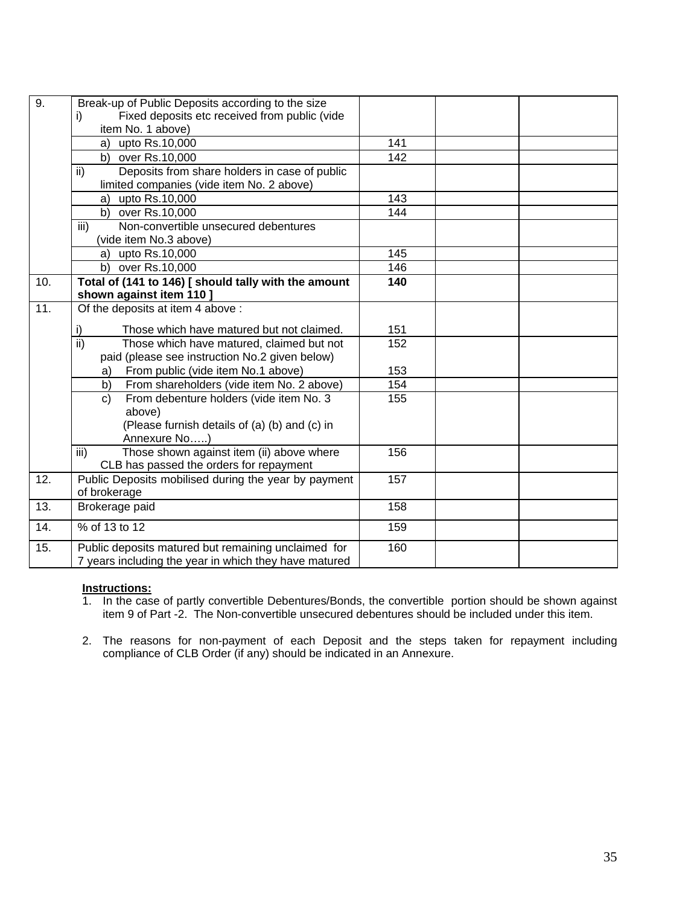| $\overline{9}$ . | Break-up of Public Deposits according to the size            |     |  |
|------------------|--------------------------------------------------------------|-----|--|
|                  | Fixed deposits etc received from public (vide<br>i)          |     |  |
|                  | item No. 1 above)                                            |     |  |
|                  | a) upto Rs.10,000                                            | 141 |  |
|                  | b) over Rs.10,000                                            | 142 |  |
|                  | Deposits from share holders in case of public<br>ii)         |     |  |
|                  | limited companies (vide item No. 2 above)                    |     |  |
|                  | upto Rs.10,000<br>a)                                         | 143 |  |
|                  | b) over Rs.10,000                                            | 144 |  |
|                  | iii)<br>Non-convertible unsecured debentures                 |     |  |
|                  | (vide item No.3 above)                                       |     |  |
|                  | a) upto Rs.10,000                                            | 145 |  |
|                  | b) over Rs.10,000                                            | 146 |  |
| 10.              | Total of (141 to 146) [ should tally with the amount         | 140 |  |
|                  | shown against item 110 ]                                     |     |  |
| 11.              | Of the deposits at item 4 above :                            |     |  |
|                  | Those which have matured but not claimed.<br>i)              | 151 |  |
|                  | $\overline{ii}$<br>Those which have matured, claimed but not | 152 |  |
|                  | paid (please see instruction No.2 given below)               |     |  |
|                  | From public (vide item No.1 above)<br>a)                     | 153 |  |
|                  | From shareholders (vide item No. 2 above)<br>b)              | 154 |  |
|                  | From debenture holders (vide item No. 3<br>c)                | 155 |  |
|                  | above)                                                       |     |  |
|                  | (Please furnish details of (a) (b) and (c) in                |     |  |
|                  | Annexure No)                                                 |     |  |
|                  | Those shown against item (ii) above where<br>iii)            | 156 |  |
|                  | CLB has passed the orders for repayment                      |     |  |
| 12.              | Public Deposits mobilised during the year by payment         | 157 |  |
|                  | of brokerage                                                 |     |  |
| 13.              | Brokerage paid                                               | 158 |  |
| 14.              | % of 13 to 12                                                | 159 |  |
| 15.              | Public deposits matured but remaining unclaimed for          | 160 |  |
|                  | 7 years including the year in which they have matured        |     |  |

### **Instructions:**

1. In the case of partly convertible Debentures/Bonds, the convertible portion should be shown against item 9 of Part -2. The Non-convertible unsecured debentures should be included under this item.

2. The reasons for non-payment of each Deposit and the steps taken for repayment including compliance of CLB Order (if any) should be indicated in an Annexure.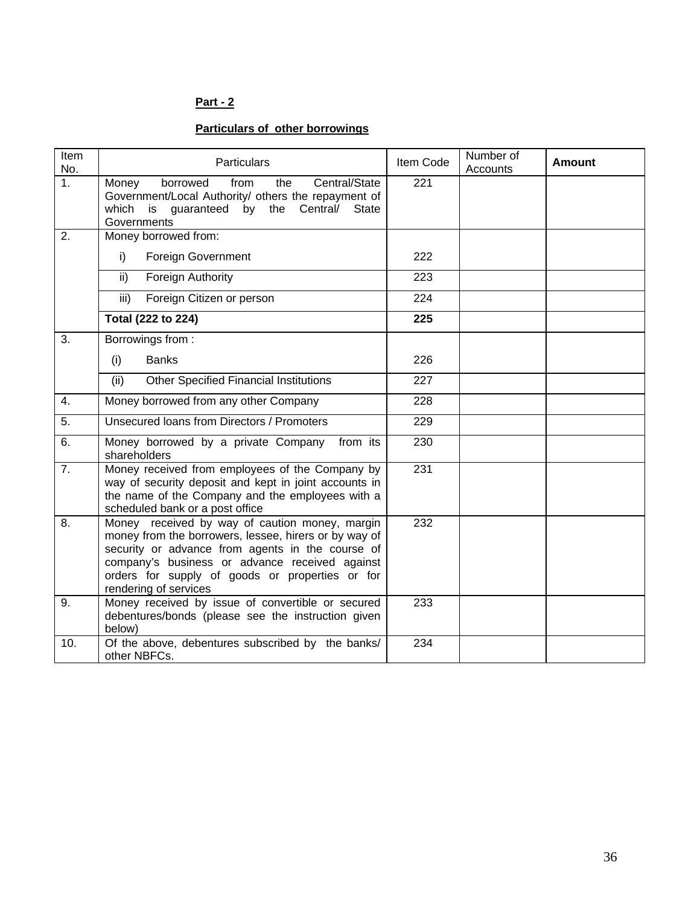# **Particulars of other borrowings**

| Item<br>No. | <b>Particulars</b>                                                                                                                                                                                                                                                                        | Item Code | Number of<br><b>Accounts</b> | <b>Amount</b> |
|-------------|-------------------------------------------------------------------------------------------------------------------------------------------------------------------------------------------------------------------------------------------------------------------------------------------|-----------|------------------------------|---------------|
| 1.          | Central/State<br>Money<br>borrowed<br>from<br>the<br>Government/Local Authority/ others the repayment of<br>which is guaranteed<br>by the<br>Central/<br><b>State</b><br>Governments                                                                                                      | 221       |                              |               |
| 2.          | Money borrowed from:                                                                                                                                                                                                                                                                      |           |                              |               |
|             | i)<br><b>Foreign Government</b>                                                                                                                                                                                                                                                           | 222       |                              |               |
|             | ii)<br>Foreign Authority                                                                                                                                                                                                                                                                  | 223       |                              |               |
|             | iii)<br>Foreign Citizen or person                                                                                                                                                                                                                                                         | 224       |                              |               |
|             | Total (222 to 224)                                                                                                                                                                                                                                                                        | 225       |                              |               |
| 3.          | Borrowings from:                                                                                                                                                                                                                                                                          |           |                              |               |
|             | <b>Banks</b><br>(i)                                                                                                                                                                                                                                                                       | 226       |                              |               |
|             | <b>Other Specified Financial Institutions</b><br>(ii)                                                                                                                                                                                                                                     | 227       |                              |               |
| 4.          | Money borrowed from any other Company                                                                                                                                                                                                                                                     | 228       |                              |               |
| 5.          | Unsecured Ioans from Directors / Promoters                                                                                                                                                                                                                                                | 229       |                              |               |
| 6.          | from its<br>Money borrowed by a private Company<br>shareholders                                                                                                                                                                                                                           | 230       |                              |               |
| 7.          | Money received from employees of the Company by<br>way of security deposit and kept in joint accounts in<br>the name of the Company and the employees with a<br>scheduled bank or a post office                                                                                           | 231       |                              |               |
| 8.          | Money received by way of caution money, margin<br>money from the borrowers, lessee, hirers or by way of<br>security or advance from agents in the course of<br>company's business or advance received against<br>orders for supply of goods or properties or for<br>rendering of services | 232       |                              |               |
| 9.          | Money received by issue of convertible or secured<br>debentures/bonds (please see the instruction given<br>below)                                                                                                                                                                         | 233       |                              |               |
| 10.         | Of the above, debentures subscribed by the banks/<br>other NBFCs.                                                                                                                                                                                                                         | 234       |                              |               |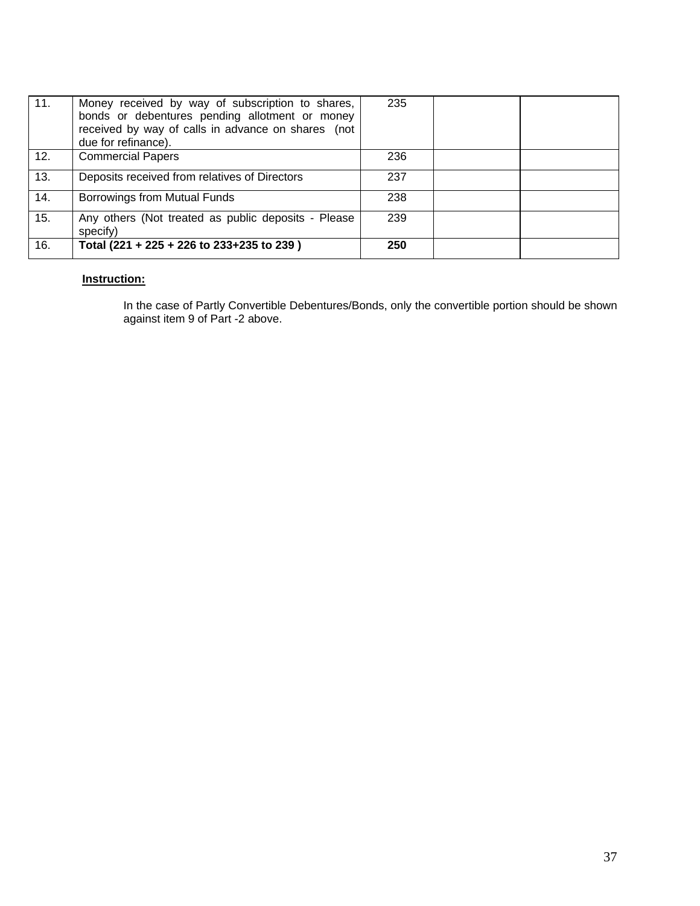| 11. | Money received by way of subscription to shares,<br>bonds or debentures pending allotment or money<br>received by way of calls in advance on shares (not<br>due for refinance). | 235 |  |
|-----|---------------------------------------------------------------------------------------------------------------------------------------------------------------------------------|-----|--|
| 12. | <b>Commercial Papers</b>                                                                                                                                                        | 236 |  |
| 13. | Deposits received from relatives of Directors                                                                                                                                   | 237 |  |
| 14. | Borrowings from Mutual Funds                                                                                                                                                    | 238 |  |
| 15. | Any others (Not treated as public deposits - Please<br>specify)                                                                                                                 | 239 |  |
| 16. | Total (221 + 225 + 226 to 233+235 to 239)                                                                                                                                       | 250 |  |

## **Instruction:**

In the case of Partly Convertible Debentures/Bonds, only the convertible portion should be shown against item 9 of Part -2 above.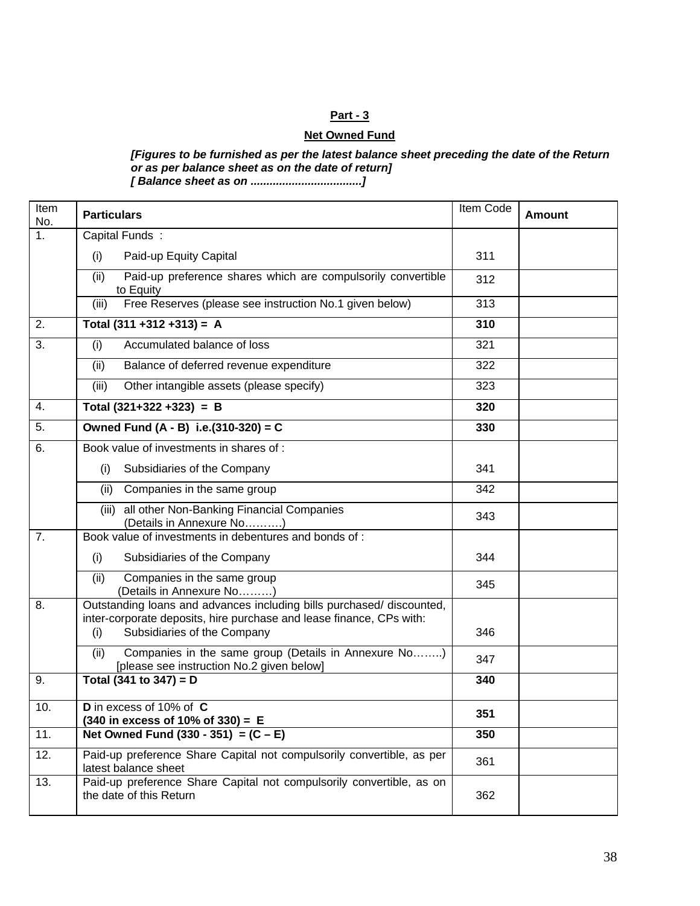### **Net Owned Fund**

*[Figures to be furnished as per the latest balance sheet preceding the date of the Return or as per balance sheet as on the date of return] [ Balance sheet as on ...................................]* 

Item ltem **Particulars Particulars Particulars Particulars Particulars Particulars Particulars Particulars Particulars Particulars Particulars Particulars Particulars Particulars Particulars Partic** Capital Funds : (i) Paid-up Equity Capital 311 (ii) Paid-up preference shares which are compulsorily convertible to Equity 312 1. (iii) Free Reserves (please see instruction No.1 given below) 313 2. **Total (311 +312 +313) = A 310**  (i) Accumulated balance of loss 321 (ii) Balance of deferred revenue expenditure 322 3. (iii) Other intangible assets (please specify) 323 4. **Total (321+322 +323) = B 320**  5. **Owned Fund (A - B) i.e.(310-320) = C 330**  Book value of investments in shares of : (i) Subsidiaries of the Company 1 341 (ii) Companies in the same group 1 342 6. (iii) all other Non-Banking Financial Companies all other Non-Barking Financial Companies<br>(Details in Annexure No……….) Book value of investments in debentures and bonds of : (i) Subsidiaries of the Company 1944 7. (ii) Companies in the same group (Details in Annexure No………) <sup>345</sup> Outstanding loans and advances including bills purchased/ discounted, inter-corporate deposits, hire purchase and lease finance, CPs with: (i) Subsidiaries of the Company 1946 8. (ii) Companies in the same group (Details in Annexure No……..) Companies in the same group (Details in Annexure No.........)<br>[please see instruction No.2 given below] 9. **Total (341 to 347) = D** 340 10. **D** in excess of 10% of **C (340 in excess of 10% of 330) = <sup>E</sup> <sup>351</sup>** 11. **Net Owned Fund (330 - 351) = (C – E) 350**  12. Paid-up preference Share Capital not compulsorily convertible, as per <br>atest balance sheet 361 13. Paid-up preference Share Capital not compulsorily convertible, as on the date of this Return 362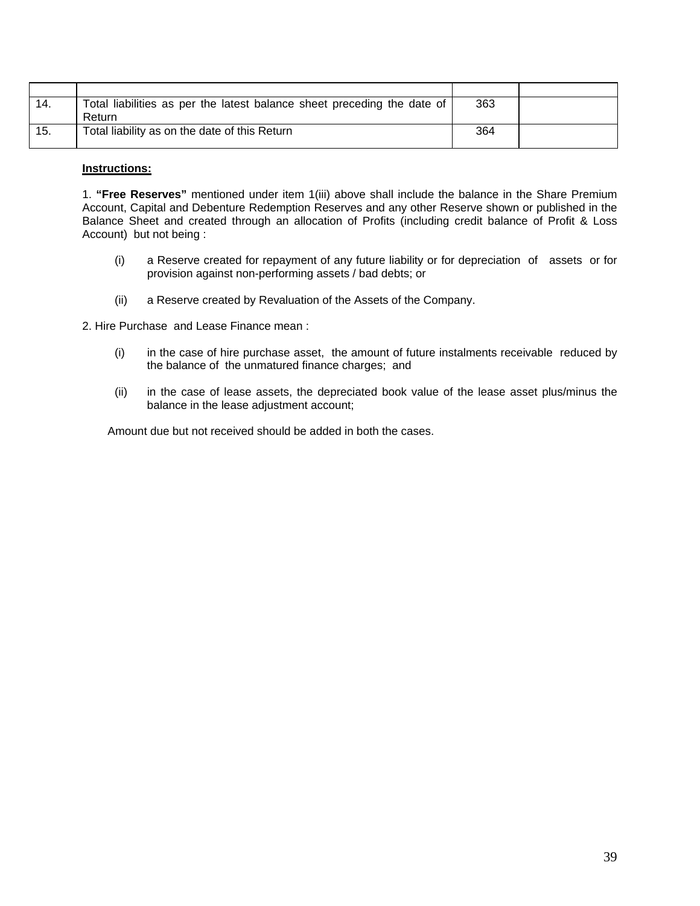| 14. | Total liabilities as per the latest balance sheet preceding the date of<br>Return | 363 |  |
|-----|-----------------------------------------------------------------------------------|-----|--|
| 15. | Total liability as on the date of this Return                                     | 364 |  |

#### **Instructions:**

1. **"Free Reserves"** mentioned under item 1(iii) above shall include the balance in the Share Premium Account, Capital and Debenture Redemption Reserves and any other Reserve shown or published in the Balance Sheet and created through an allocation of Profits (including credit balance of Profit & Loss Account) but not being :

- (i) a Reserve created for repayment of any future liability or for depreciation of assets or for provision against non-performing assets / bad debts; or
- (ii) a Reserve created by Revaluation of the Assets of the Company.

2. Hire Purchase and Lease Finance mean :

- (i) in the case of hire purchase asset, the amount of future instalments receivable reduced by the balance of the unmatured finance charges; and
- (ii) in the case of lease assets, the depreciated book value of the lease asset plus/minus the balance in the lease adjustment account;

Amount due but not received should be added in both the cases.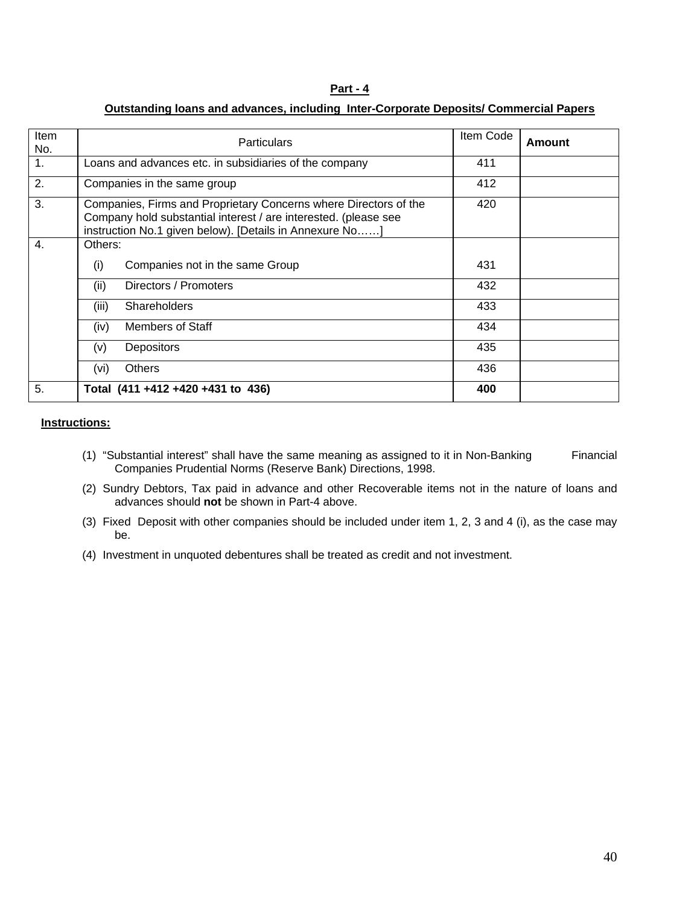### **Outstanding loans and advances, including Inter-Corporate Deposits/ Commercial Papers**

| Item           | <b>Particulars</b>                                                                                                                                                                             | Item Code | Amount |
|----------------|------------------------------------------------------------------------------------------------------------------------------------------------------------------------------------------------|-----------|--------|
| No.            |                                                                                                                                                                                                |           |        |
| 1.             | Loans and advances etc. in subsidiaries of the company                                                                                                                                         | 411       |        |
| 2.             | Companies in the same group                                                                                                                                                                    | 412       |        |
| 3.             | Companies, Firms and Proprietary Concerns where Directors of the<br>Company hold substantial interest / are interested. (please see<br>instruction No.1 given below). [Details in Annexure No] | 420       |        |
| $\mathbf{4}$ . | Others:                                                                                                                                                                                        |           |        |
|                | Companies not in the same Group<br>(i)                                                                                                                                                         | 431       |        |
|                | Directors / Promoters<br>(ii)                                                                                                                                                                  | 432       |        |
|                | (iii)<br><b>Shareholders</b>                                                                                                                                                                   | 433       |        |
|                | Members of Staff<br>(iv)                                                                                                                                                                       | 434       |        |
|                | <b>Depositors</b><br>(v)                                                                                                                                                                       | 435       |        |
|                | <b>Others</b><br>(vi)                                                                                                                                                                          | 436       |        |
| 5.             | Total (411 +412 +420 +431 to 436)                                                                                                                                                              | 400       |        |

#### **Instructions:**

- (1) "Substantial interest" shall have the same meaning as assigned to it in Non-Banking Financial Companies Prudential Norms (Reserve Bank) Directions, 1998.
- (2) Sundry Debtors, Tax paid in advance and other Recoverable items not in the nature of loans and advances should **not** be shown in Part-4 above.
- (3) Fixed Deposit with other companies should be included under item 1, 2, 3 and 4 (i), as the case may be.
- (4) Investment in unquoted debentures shall be treated as credit and not investment.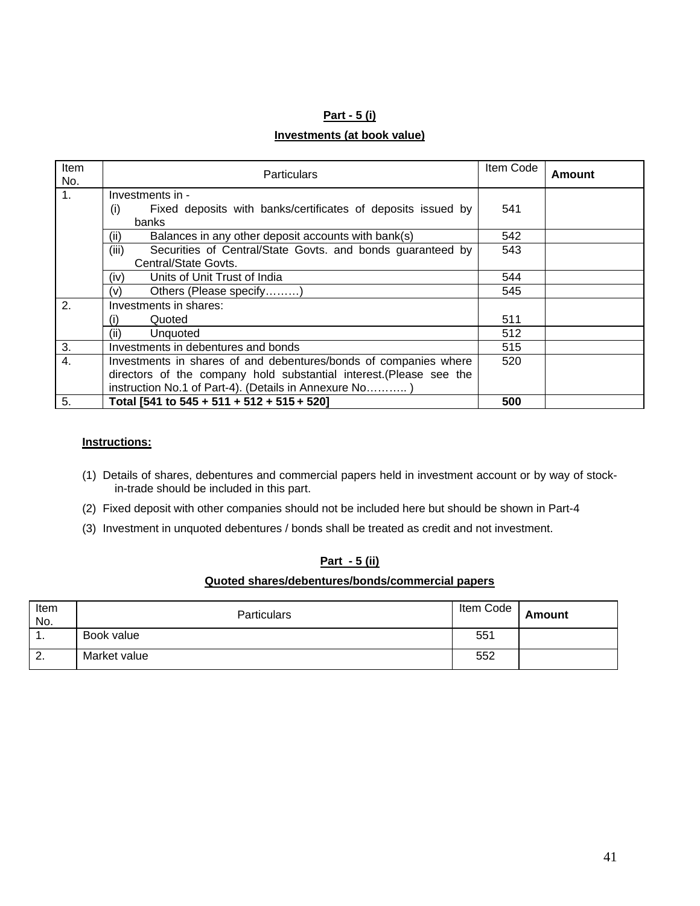#### **Part - 5 (i)**

### **Investments (at book value)**

| <b>Item</b><br>No. | <b>Particulars</b>                                                  | Item Code | Amount |
|--------------------|---------------------------------------------------------------------|-----------|--------|
| $\mathbf{1}$ .     | Investments in -                                                    |           |        |
|                    | Fixed deposits with banks/certificates of deposits issued by<br>(i) | 541       |        |
|                    | banks                                                               |           |        |
|                    | Balances in any other deposit accounts with bank(s)<br>(ii)         | 542       |        |
|                    | (iii)<br>Securities of Central/State Govts. and bonds guaranteed by | 543       |        |
|                    | Central/State Govts.                                                |           |        |
|                    | Units of Unit Trust of India<br>(iv)                                | 544       |        |
|                    | Others (Please specify)<br>(v)                                      | 545       |        |
| 2.                 | Investments in shares:                                              |           |        |
|                    | Quoted<br>(i)                                                       | 511       |        |
|                    | Unquoted<br>(ii)                                                    | 512       |        |
| 3.                 | Investments in debentures and bonds                                 | 515       |        |
| $\overline{4}$ .   | Investments in shares of and debentures/bonds of companies where    | 520       |        |
|                    | directors of the company hold substantial interest. (Please see the |           |        |
|                    | instruction No.1 of Part-4). (Details in Annexure No)               |           |        |
| 5.                 | Total [541 to 545 + 511 + 512 + 515 + 520]                          | 500       |        |

#### **Instructions:**

- (1) Details of shares, debentures and commercial papers held in investment account or by way of stockin-trade should be included in this part.
- (2) Fixed deposit with other companies should not be included here but should be shown in Part-4
- (3) Investment in unquoted debentures / bonds shall be treated as credit and not investment.

### **Part - 5 (ii)**

#### **Quoted shares/debentures/bonds/commercial papers**

| Item<br>No. | <b>Particulars</b> | Item Code | <b>Amount</b> |
|-------------|--------------------|-----------|---------------|
| . .         | Book value         | 551       |               |
| ۷.          | Market value       | 552       |               |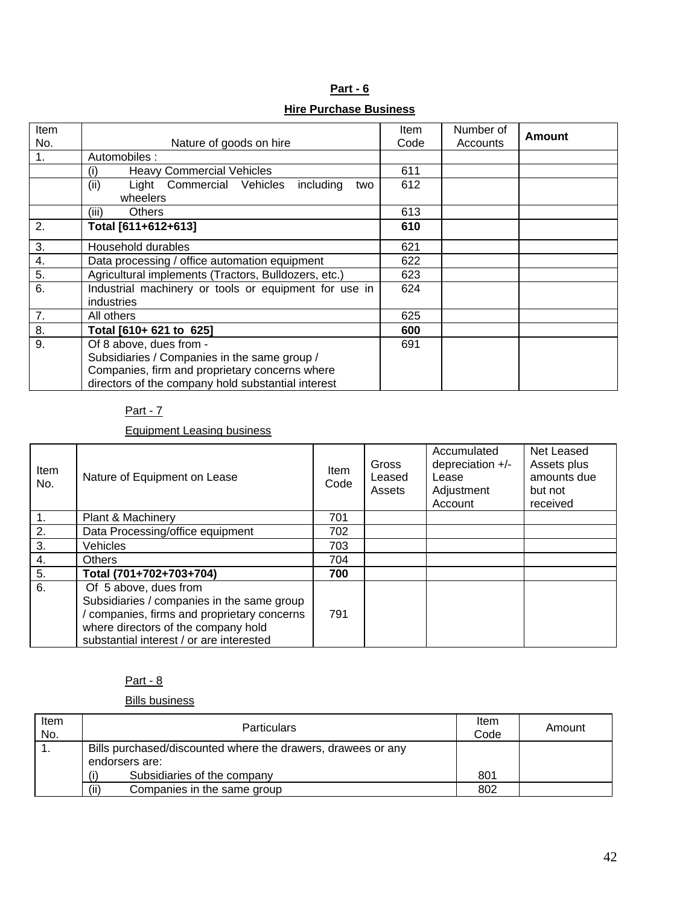| Part - 6                      |  |  |  |
|-------------------------------|--|--|--|
| <b>Hire Purchase Business</b> |  |  |  |

| Item |                                                       | Item | Number of |        |
|------|-------------------------------------------------------|------|-----------|--------|
| No.  | Nature of goods on hire                               | Code | Accounts  | Amount |
| 1.   | Automobiles:                                          |      |           |        |
|      | <b>Heavy Commercial Vehicles</b><br>(i)               | 611  |           |        |
|      | Light Commercial Vehicles<br>(ii)<br>including<br>two | 612  |           |        |
|      | wheelers                                              |      |           |        |
|      | <b>Others</b><br>(iii)                                | 613  |           |        |
| 2.   | Total [611+612+613]                                   | 610  |           |        |
| 3.   | Household durables                                    | 621  |           |        |
| 4.   | Data processing / office automation equipment         | 622  |           |        |
| 5.   | Agricultural implements (Tractors, Bulldozers, etc.)  | 623  |           |        |
| 6.   | Industrial machinery or tools or equipment for use in | 624  |           |        |
|      | industries                                            |      |           |        |
| 7.   | All others                                            | 625  |           |        |
| 8.   | Total [610+ 621 to 625]                               | 600  |           |        |
| 9.   | Of 8 above, dues from -                               | 691  |           |        |
|      | Subsidiaries / Companies in the same group /          |      |           |        |
|      | Companies, firm and proprietary concerns where        |      |           |        |
|      | directors of the company hold substantial interest    |      |           |        |

Equipment Leasing business

| Item<br>No.   | Nature of Equipment on Lease                                                                                                                                                                        | <b>Item</b><br>Code | Gross<br>Leased<br>Assets | Accumulated<br>depreciation +/-<br>Lease<br>Adjustment<br>Account | Net Leased<br>Assets plus<br>amounts due<br>but not<br>received |
|---------------|-----------------------------------------------------------------------------------------------------------------------------------------------------------------------------------------------------|---------------------|---------------------------|-------------------------------------------------------------------|-----------------------------------------------------------------|
| $\mathbf 1$ . | <b>Plant &amp; Machinery</b>                                                                                                                                                                        | 701                 |                           |                                                                   |                                                                 |
| 2.            | Data Processing/office equipment                                                                                                                                                                    | 702                 |                           |                                                                   |                                                                 |
| 3.            | Vehicles                                                                                                                                                                                            | 703                 |                           |                                                                   |                                                                 |
| 4.            | <b>Others</b>                                                                                                                                                                                       | 704                 |                           |                                                                   |                                                                 |
| 5.            | Total (701+702+703+704)                                                                                                                                                                             | 700                 |                           |                                                                   |                                                                 |
| 6.            | Of 5 above, dues from<br>Subsidiaries / companies in the same group<br>companies, firms and proprietary concerns<br>where directors of the company hold<br>substantial interest / or are interested | 791                 |                           |                                                                   |                                                                 |

## Part - 8

Bills business

| Item<br>No. | <b>Particulars</b>                                                             | Item<br>Code | Amount |
|-------------|--------------------------------------------------------------------------------|--------------|--------|
|             | Bills purchased/discounted where the drawers, drawees or any<br>endorsers are: |              |        |
|             | Subsidiaries of the company                                                    | 801          |        |
|             | (ii)<br>Companies in the same group                                            | 802          |        |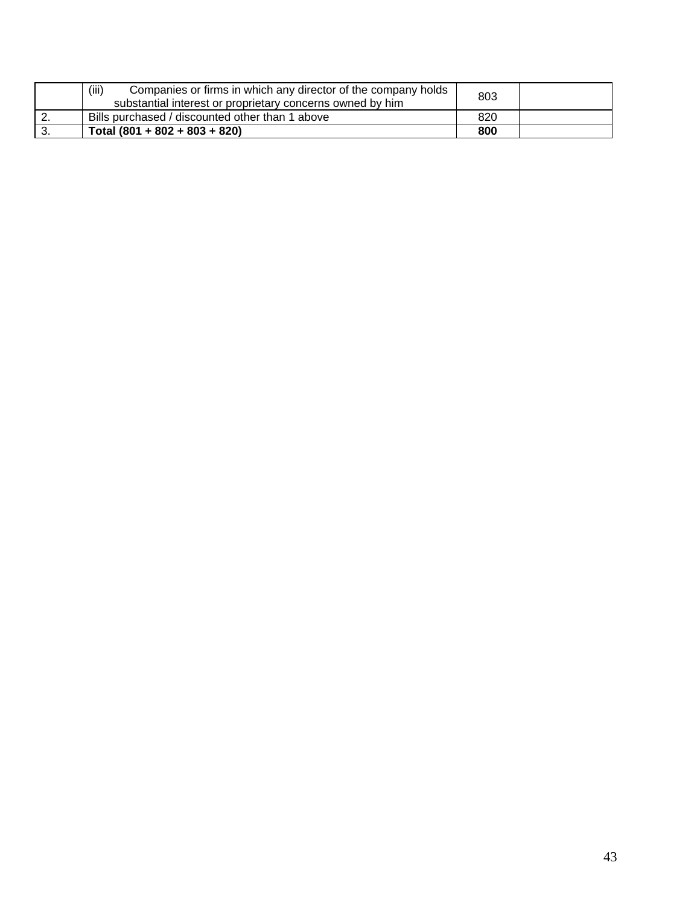|          | (iii)<br>Companies or firms in which any director of the company holds<br>substantial interest or proprietary concerns owned by him | 803 |  |
|----------|-------------------------------------------------------------------------------------------------------------------------------------|-----|--|
| <u>.</u> | Bills purchased / discounted other than 1 above                                                                                     | 820 |  |
| J.       | Total $(801 + 802 + 803 + 820)$                                                                                                     | 800 |  |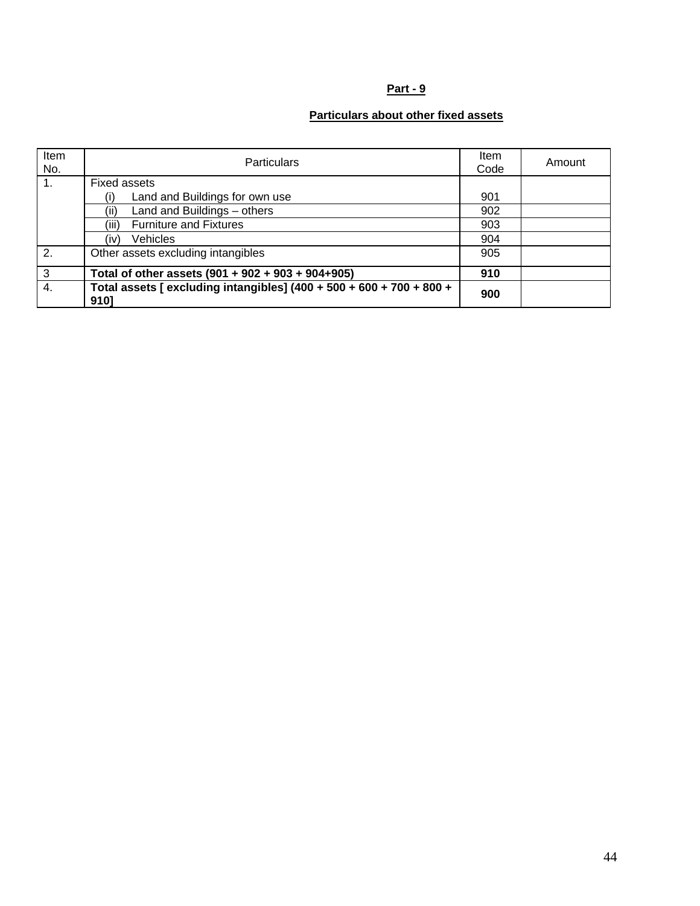# **Particulars about other fixed assets**

| Item<br>No.    | <b>Particulars</b>                                                           | Item<br>Code | Amount |
|----------------|------------------------------------------------------------------------------|--------------|--------|
| $\mathbf{1}$ . | <b>Fixed assets</b>                                                          |              |        |
|                | Land and Buildings for own use<br>(i)                                        | 901          |        |
|                | Land and Buildings - others<br>(ii)                                          | 902          |        |
|                | (iii)<br><b>Furniture and Fixtures</b>                                       | 903          |        |
|                | Vehicles<br>(iv)                                                             | 904          |        |
| 2.             | Other assets excluding intangibles                                           | 905          |        |
| 3              | Total of other assets (901 + 902 + 903 + 904+905)                            | 910          |        |
| 4.             | Total assets [ excluding intangibles] (400 + 500 + 600 + 700 + 800 +<br>9101 | 900          |        |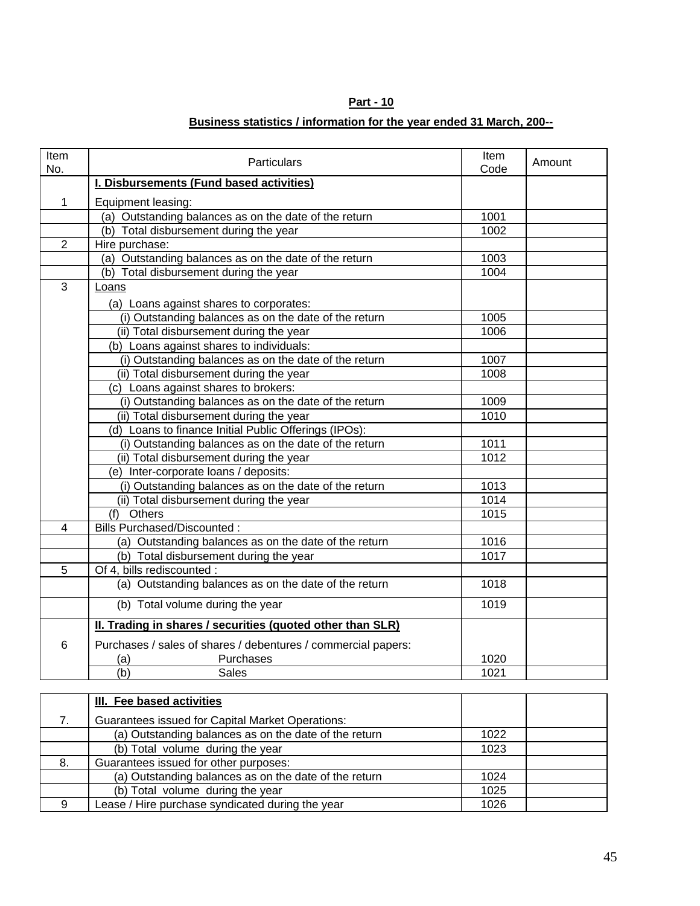# **Business statistics / information for the year ended 31 March, 200--**

| Item<br>No.    | <b>Particulars</b>                                            | Item<br>Code | Amount |
|----------------|---------------------------------------------------------------|--------------|--------|
|                | <b>I. Disbursements (Fund based activities)</b>               |              |        |
| $\mathbf{1}$   | Equipment leasing:                                            |              |        |
|                | (a) Outstanding balances as on the date of the return         | 1001         |        |
|                | (b) Total disbursement during the year                        | 1002         |        |
| $\overline{2}$ | Hire purchase:                                                |              |        |
|                | (a) Outstanding balances as on the date of the return         | 1003         |        |
|                | (b) Total disbursement during the year                        | 1004         |        |
| 3              | Loans                                                         |              |        |
|                | (a) Loans against shares to corporates:                       |              |        |
|                | (i) Outstanding balances as on the date of the return         | 1005         |        |
|                | (ii) Total disbursement during the year                       | 1006         |        |
|                | (b) Loans against shares to individuals:                      |              |        |
|                | (i) Outstanding balances as on the date of the return         | 1007         |        |
|                | (ii) Total disbursement during the year                       | 1008         |        |
|                | (c) Loans against shares to brokers:                          |              |        |
|                | (i) Outstanding balances as on the date of the return         | 1009         |        |
|                | (ii) Total disbursement during the year                       | 1010         |        |
|                | (d) Loans to finance Initial Public Offerings (IPOs):         |              |        |
|                | (i) Outstanding balances as on the date of the return         | 1011         |        |
|                | (ii) Total disbursement during the year                       | 1012         |        |
|                | (e) Inter-corporate loans / deposits:                         |              |        |
|                | (i) Outstanding balances as on the date of the return         | 1013         |        |
|                | (ii) Total disbursement during the year                       | 1014         |        |
|                | (f) Others                                                    | 1015         |        |
| 4              | <b>Bills Purchased/Discounted:</b>                            |              |        |
|                | (a) Outstanding balances as on the date of the return         | 1016         |        |
|                | (b) Total disbursement during the year                        | 1017         |        |
| 5              | Of 4, bills rediscounted :                                    |              |        |
|                | (a) Outstanding balances as on the date of the return         | 1018         |        |
|                | (b) Total volume during the year                              | 1019         |        |
|                | II. Trading in shares / securities (quoted other than SLR)    |              |        |
| 6              | Purchases / sales of shares / debentures / commercial papers: |              |        |
|                | Purchases<br>(a)                                              | 1020         |        |
|                | (b)<br><b>Sales</b>                                           | 1021         |        |
|                |                                                               |              |        |
|                | <b>III. Fee based activities</b>                              |              |        |
| ⇁              | Custophere issued for Conital Merket Operations               |              |        |

|    | <u>ill. I ce basea activitics</u>                     |      |  |
|----|-------------------------------------------------------|------|--|
|    | Guarantees issued for Capital Market Operations:      |      |  |
|    | (a) Outstanding balances as on the date of the return | 1022 |  |
|    | (b) Total volume during the year                      | 1023 |  |
| 8. | Guarantees issued for other purposes:                 |      |  |
|    | (a) Outstanding balances as on the date of the return | 1024 |  |
|    | (b) Total volume during the year                      | 1025 |  |
| a  | Lease / Hire purchase syndicated during the year      | 1026 |  |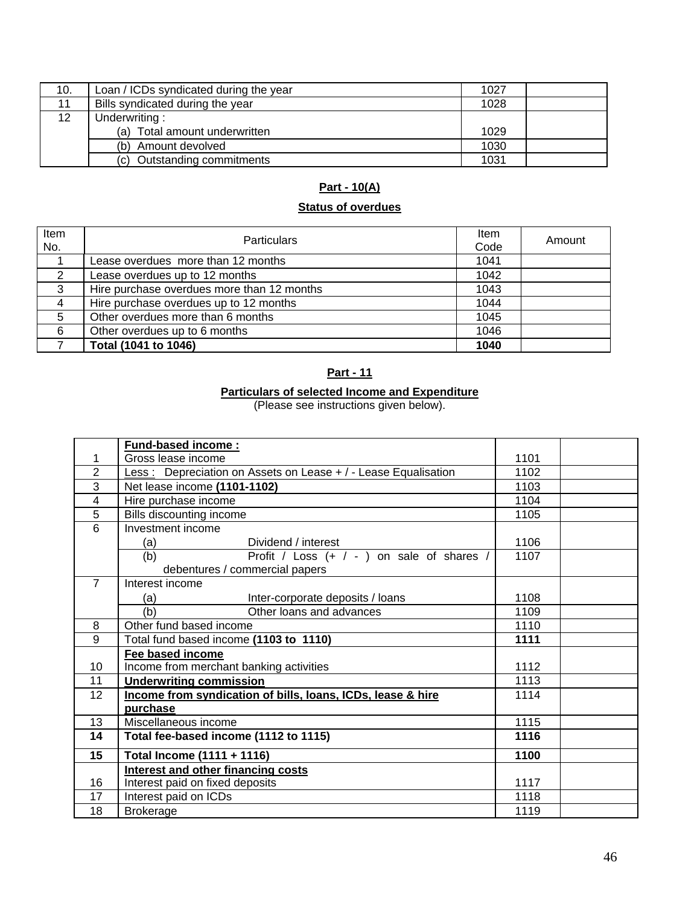| 10. | Loan / ICDs syndicated during the year | 1027 |  |
|-----|----------------------------------------|------|--|
| 11  | Bills syndicated during the year       | 1028 |  |
| 12  | Underwriting:                          |      |  |
|     | (a) Total amount underwritten          | 1029 |  |
|     | (b) Amount devolved                    | 1030 |  |
|     | Outstanding commitments<br>(C)         | 1031 |  |

# **Part - 10(A)**

# **Status of overdues**

| Item<br>No.    | <b>Particulars</b>                         | Item<br>Code | Amount |
|----------------|--------------------------------------------|--------------|--------|
|                | Lease overdues more than 12 months         | 1041         |        |
| 2              | Lease overdues up to 12 months             | 1042         |        |
| 3              | Hire purchase overdues more than 12 months | 1043         |        |
| $\overline{4}$ | Hire purchase overdues up to 12 months     | 1044         |        |
| 5              | Other overdues more than 6 months          | 1045         |        |
| 6              | Other overdues up to 6 months              | 1046         |        |
|                | Total (1041 to 1046)                       | 1040         |        |

## **Part - 11**

#### **Particulars of selected Income and Expenditure**

(Please see instructions given below).

|                | <b>Fund-based income:</b>                                           |      |  |  |
|----------------|---------------------------------------------------------------------|------|--|--|
| 1              | Gross lease income                                                  | 1101 |  |  |
| $\overline{2}$ | Less: Depreciation on Assets on Lease + / - Lease Equalisation      | 1102 |  |  |
| 3              | Net lease income (1101-1102)                                        | 1103 |  |  |
| $\overline{4}$ | Hire purchase income                                                | 1104 |  |  |
| 5              | Bills discounting income                                            | 1105 |  |  |
| 6              | Investment income                                                   |      |  |  |
|                | Dividend / interest<br>(a)                                          | 1106 |  |  |
|                | Profit / Loss (+ / - ) on sale of shares /<br>(b)                   | 1107 |  |  |
|                | debentures / commercial papers                                      |      |  |  |
| $\overline{7}$ | Interest income                                                     |      |  |  |
|                | Inter-corporate deposits / loans<br>(a)                             | 1108 |  |  |
|                | (b)<br>Other loans and advances                                     | 1109 |  |  |
| 8              | Other fund based income                                             | 1110 |  |  |
| 9              | Total fund based income (1103 to 1110)                              | 1111 |  |  |
|                | Fee based income                                                    |      |  |  |
| 10             | Income from merchant banking activities                             | 1112 |  |  |
| 11             | <b>Underwriting commission</b>                                      | 1113 |  |  |
| 12             | Income from syndication of bills, loans, ICDs, lease & hire<br>1114 |      |  |  |
|                | purchase                                                            |      |  |  |
| 13             | Miscellaneous income                                                | 1115 |  |  |
| 14             | Total fee-based income (1112 to 1115)                               | 1116 |  |  |
| 15             | Total Income (1111 + 1116)                                          | 1100 |  |  |
|                | <b>Interest and other financing costs</b>                           |      |  |  |
| 16             | Interest paid on fixed deposits                                     | 1117 |  |  |
| 17             | Interest paid on ICDs                                               | 1118 |  |  |
| 18             | <b>Brokerage</b>                                                    | 1119 |  |  |
|                |                                                                     |      |  |  |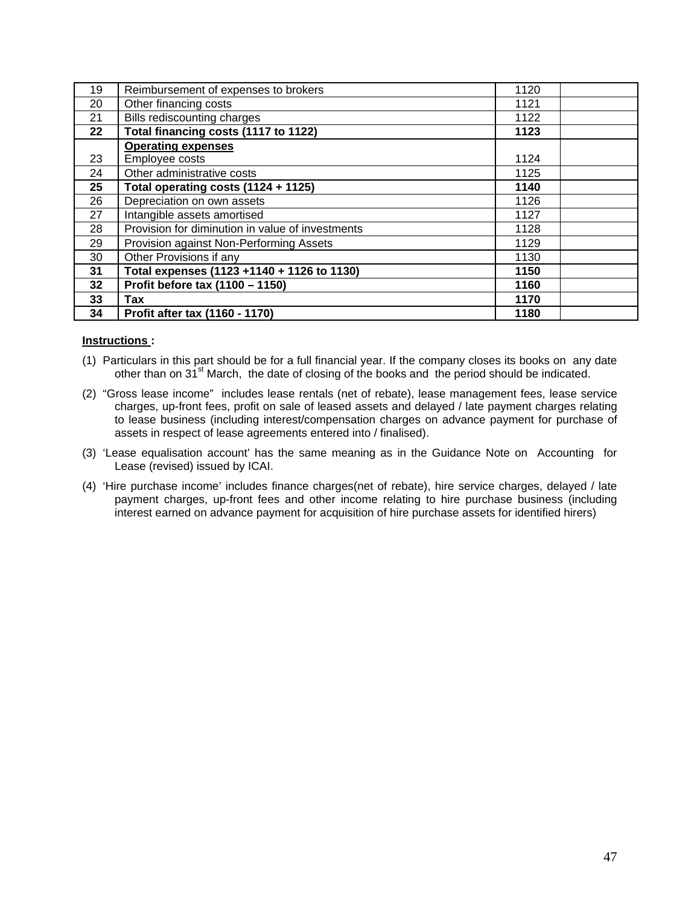| 19 | Reimbursement of expenses to brokers             | 1120 |
|----|--------------------------------------------------|------|
| 20 | Other financing costs                            | 1121 |
| 21 | Bills rediscounting charges                      | 1122 |
| 22 | Total financing costs (1117 to 1122)             | 1123 |
|    | <b>Operating expenses</b>                        |      |
| 23 | Employee costs                                   | 1124 |
| 24 | Other administrative costs                       | 1125 |
| 25 | Total operating costs (1124 + 1125)              | 1140 |
| 26 | Depreciation on own assets                       | 1126 |
| 27 | Intangible assets amortised                      | 1127 |
| 28 | Provision for diminution in value of investments | 1128 |
| 29 | Provision against Non-Performing Assets          | 1129 |
| 30 | Other Provisions if any                          | 1130 |
| 31 | Total expenses (1123 +1140 + 1126 to 1130)       | 1150 |
| 32 | Profit before tax (1100 - 1150)                  | 1160 |
| 33 | Tax                                              | 1170 |
| 34 | Profit after tax (1160 - 1170)                   | 1180 |

### **Instructions :**

- (1) Particulars in this part should be for a full financial year. If the company closes its books on any date other than on 31<sup>st</sup> March, the date of closing of the books and the period should be indicated.
- (2) "Gross lease income" includes lease rentals (net of rebate), lease management fees, lease service charges, up-front fees, profit on sale of leased assets and delayed / late payment charges relating to lease business (including interest/compensation charges on advance payment for purchase of assets in respect of lease agreements entered into / finalised).
- (3) 'Lease equalisation account' has the same meaning as in the Guidance Note on Accounting for Lease (revised) issued by ICAI.
- (4) 'Hire purchase income' includes finance charges(net of rebate), hire service charges, delayed / late payment charges, up-front fees and other income relating to hire purchase business (including interest earned on advance payment for acquisition of hire purchase assets for identified hirers)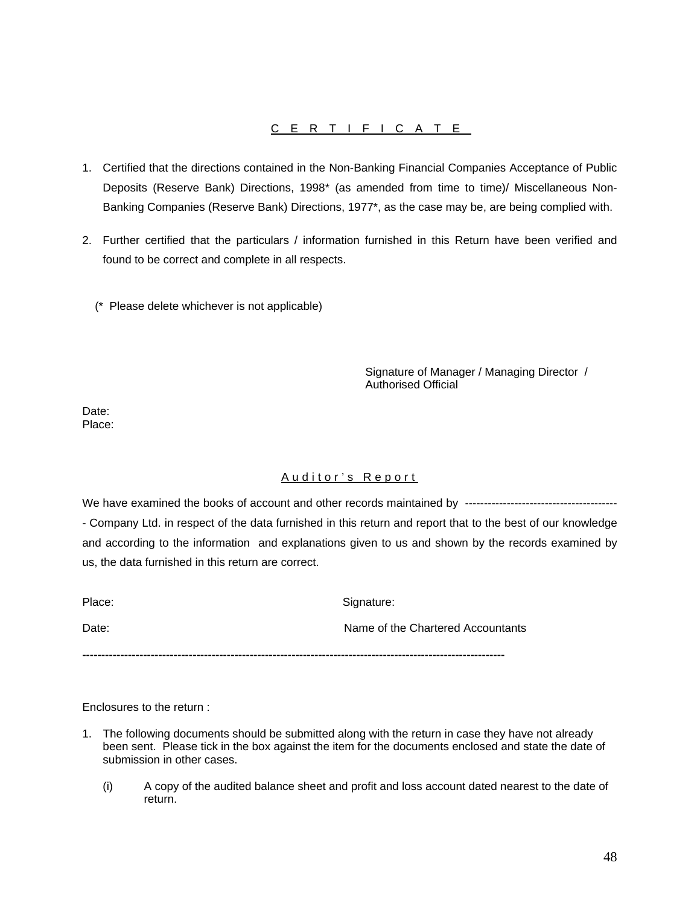### CERTIFICATE

- 1. Certified that the directions contained in the Non-Banking Financial Companies Acceptance of Public Deposits (Reserve Bank) Directions, 1998\* (as amended from time to time)/ Miscellaneous Non-Banking Companies (Reserve Bank) Directions, 1977\*, as the case may be, are being complied with.
- 2. Further certified that the particulars / information furnished in this Return have been verified and found to be correct and complete in all respects.
	- (\* Please delete whichever is not applicable)

Signature of Manager / Managing Director / Authorised Official

Date: Place:

### Auditor's Report

We have examined the books of account and other records maintained by ---------------------------------------- - Company Ltd. in respect of the data furnished in this return and report that to the best of our knowledge and according to the information and explanations given to us and shown by the records examined by us, the data furnished in this return are correct.

Place: Signature: Signature:

Date: Name of the Chartered Accountants

**---------------------------------------------------------------------------------------------------------------** 

Enclosures to the return :

- 1. The following documents should be submitted along with the return in case they have not already been sent. Please tick in the box against the item for the documents enclosed and state the date of submission in other cases.
	- (i) A copy of the audited balance sheet and profit and loss account dated nearest to the date of return.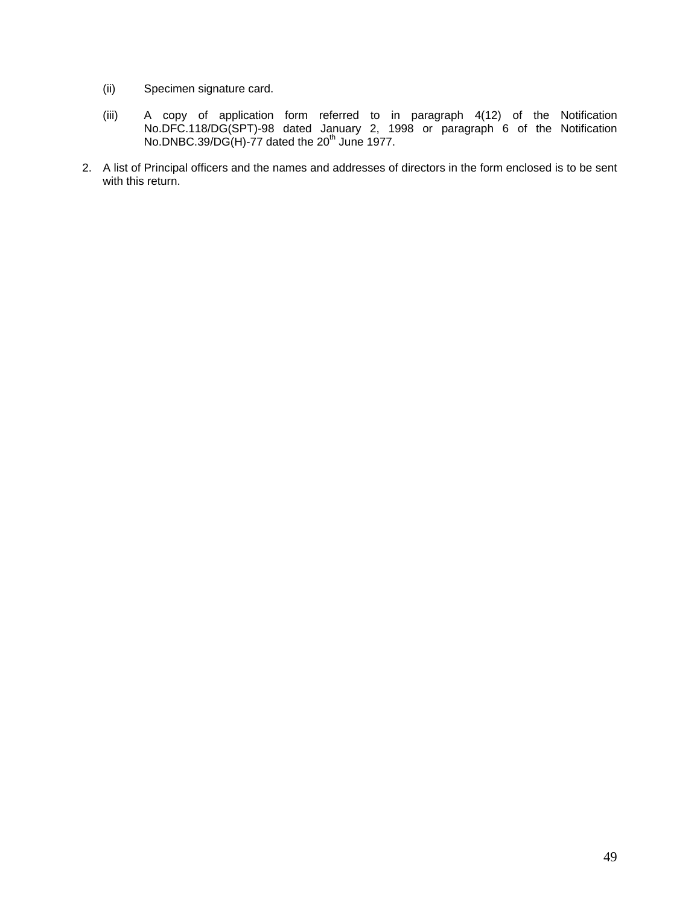- (ii) Specimen signature card.
- (iii) A copy of application form referred to in paragraph 4(12) of the Notification No.DFC.118/DG(SPT)-98 dated January 2, 1998 or paragraph 6 of the Notification No.DNBC.39/DG(H)-77 dated the  $20<sup>th</sup>$  June 1977.
- 2. A list of Principal officers and the names and addresses of directors in the form enclosed is to be sent with this return.